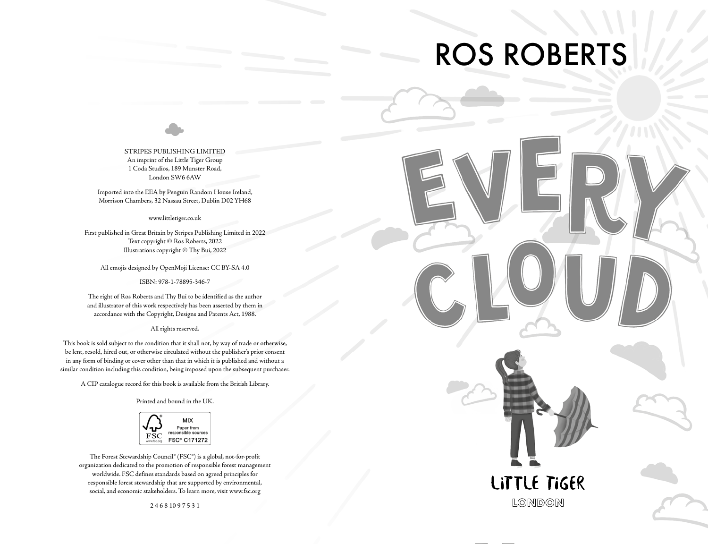## ROS ROBERTS

LITTLE TIGER

LONDON

STRIPES PUBLISHING LIMITED An imprint of the Little Tiger Group 1 Coda Studios, 189 Munster Road, London SW6 6AW

☁

Imported into the EEA by Penguin Random House Ireland, Morrison Chambers, 32 Nassau Street, Dublin D02 YH68

www.littletiger.co.uk

First published in Great Britain by Stripes Publishing Limited in 2022 Text copyright © Ros Roberts, 2022 Illustrations copyright © Thy Bui, 2022

All emojis designed by OpenMoji License: CC BY-SA 4.0

ISBN: 978-1-78895-346-7

The right of Ros Roberts and Thy Bui to be identified as the author and illustrator of this work respectively has been asserted by them in accordance with the Copyright, Designs and Patents Act, 1988.

All rights reserved.

This book is sold subject to the condition that it shall not, by way of trade or otherwise, be lent, resold, hired out, or otherwise circulated without the publisher's prior consent in any form of binding or cover other than that in which it is published and without a similar condition including this condition, being imposed upon the subsequent purchaser.

A CIP catalogue record for this book is available from the British Library.

Printed and bound in the UK.



The Forest Stewardship Council® (FSC®) is a global, not-for-profit organization dedicated to the promotion of responsible forest management worldwide. FSC defines standards based on agreed principles for responsible forest stewardship that are supported by environmental, social, and economic stakeholders. To learn more, visit www.fsc.org

2 4 6 8 10 9 7 5 3 1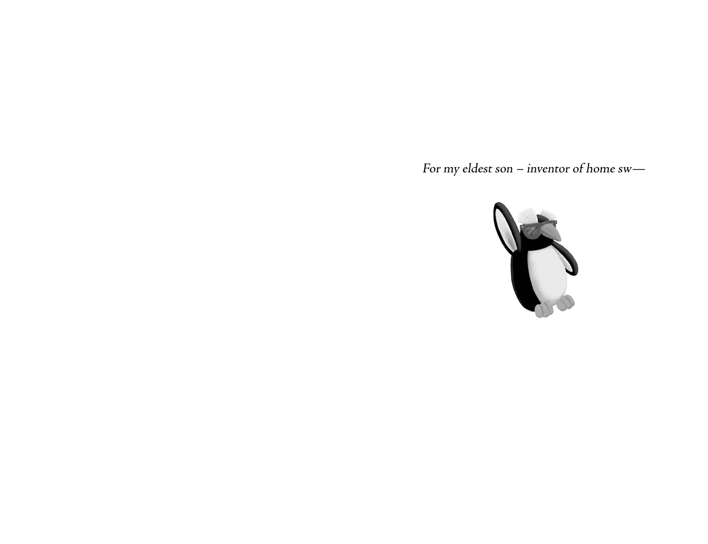For my eldest son - inventor of home sw-

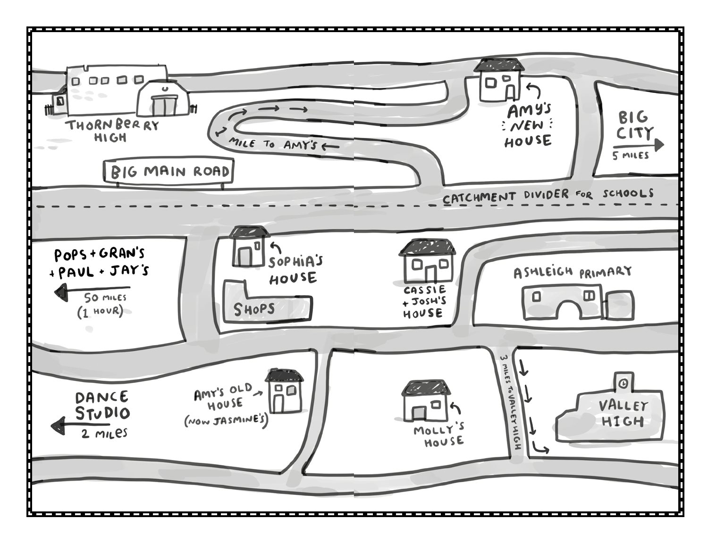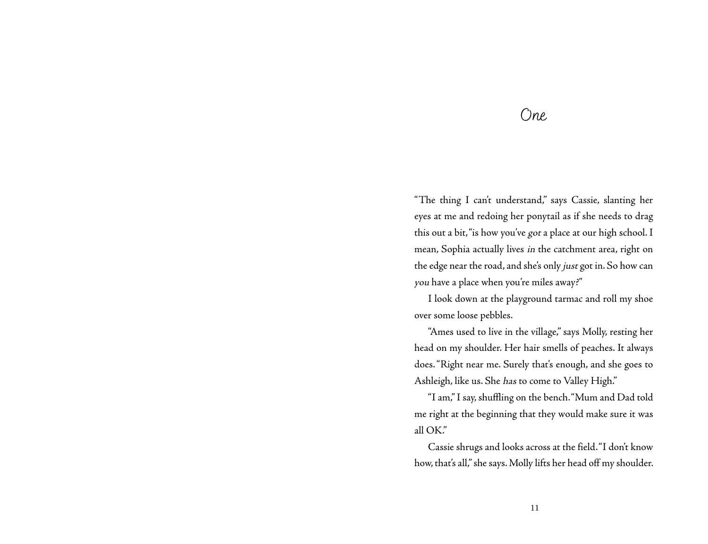## One

"The thing I can't understand," says Cassie, slanting her eyes at me and redoing her ponytail as if she needs to drag this out a bit, "is how you've got a place at our high school. I mean, Sophia actually lives in the catchment area, right on the edge near the road, and she's only just got in. So how can you have a place when you're miles away?"

I look down at the playground tarmac and roll my shoe over some loose pebbles.

"Ames used to live in the village," says Molly, resting her head on my shoulder. Her hair smells of peaches. It always does. "Right near me. Surely that's enough, and she goes to Ashleigh, like us. She has to come to Valley High."

"I am," I say, shuffling on the bench. "Mum and Dad told me right at the beginning that they would make sure it was all OK."

Cassie shrugs and looks across at the field. "I don't know how, that's all," she says. Molly lifts her head off my shoulder.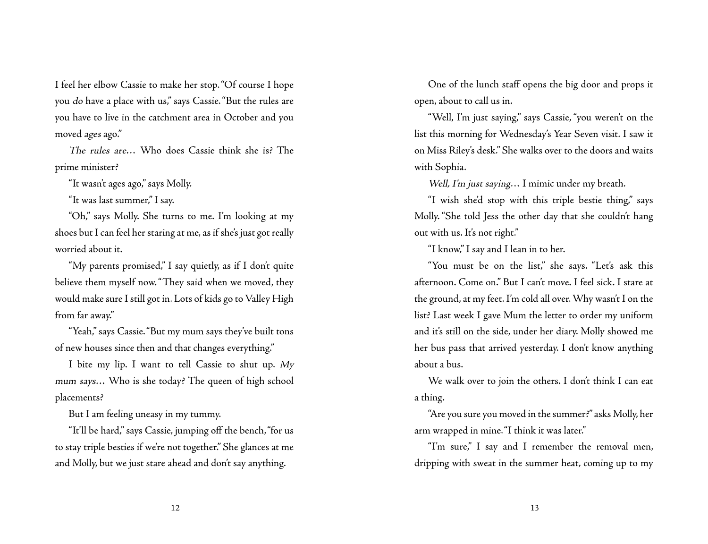I feel her elbow Cassie to make her stop. "Of course I hope you do have a place with us," says Cassie. "But the rules are you have to live in the catchment area in October and you moved ages ago."

The rules are… Who does Cassie think she is? The prime minister?

"It wasn't ages ago," says Molly.

"It was last summer," I say.

"Oh," says Molly. She turns to me. I'm looking at my shoes but I can feel her staring at me, as if she's just got really worried about it.

"My parents promised," I say quietly, as if I don't quite believe them myself now. "They said when we moved, they would make sure I still got in. Lots of kids go to Valley High from far away."

"Yeah," says Cassie. "But my mum says they've built tons of new houses since then and that changes everything."

I bite my lip. I want to tell Cassie to shut up. My mum says… Who is she today? The queen of high school placements?

But I am feeling uneasy in my tummy.

"It'll be hard," says Cassie, jumping off the bench, "for us to stay triple besties if we're not together." She glances at me and Molly, but we just stare ahead and don't say anything.

One of the lunch staff opens the big door and props it open, about to call us in.

"Well, I'm just saying," says Cassie, "you weren't on the list this morning for Wednesday's Year Seven visit. I saw it on Miss Riley's desk." She walks over to the doors and waits with Sophia.

Well, I'm just saying… I mimic under my breath.

"I wish she'd stop with this triple bestie thing," says Molly. "She told Jess the other day that she couldn't hang out with us. It's not right."

"I know," I say and I lean in to her.

"You must be on the list," she says. "Let's ask this afternoon. Come on." But I can't move. I feel sick. I stare at the ground, at my feet. I'm cold all over. Why wasn't I on the list? Last week I gave Mum the letter to order my uniform and it's still on the side, under her diary. Molly showed me her bus pass that arrived yesterday. I don't know anything about a bus.

We walk over to join the others. I don't think I can eat a thing.

"Are you sure you moved in the summer?" asks Molly, her arm wrapped in mine. "I think it was later."

"I'm sure," I say and I remember the removal men, dripping with sweat in the summer heat, coming up to my